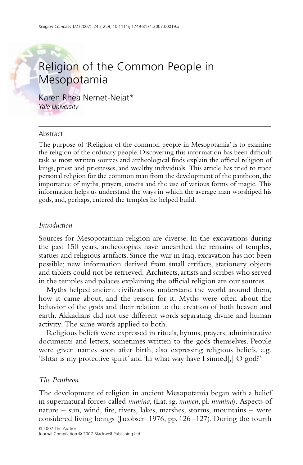# Religion of the Common People in Mesopotamia

Karen Rhea Nemet-Nejat\* *Yale University*

#### Abstract

The purpose of 'Religion of the common people in Mesopotamia' is to examine the religion of the ordinary people. Discovering this information has been difficult task as most written sources and archeological finds explain the official religion of kings, priest and priestesses, and wealthy individuals. This article has tried to trace personal religion for the common man from the development of the pantheon, the importance of myths, prayers, omens and the use of various forms of magic. This information helps us understand the ways in which the average man worshiped his gods, and, perhaps, entered the temples he helped build.

## *Introduction*

Sources for Mesopotamian religion are diverse. In the excavations during the past 150 years, archeologists have unearthed the remains of temples, statues and religious artifacts. Since the war in Iraq, excavation has not been possible; new information derived from small artifacts, stationery objects and tablets could not be retrieved. Architects, artists and scribes who served in the temples and palaces explaining the official religion are our sources.

Myths helped ancient civilizations understand the world around them, how it came about, and the reason for it. Myths were often about the behavior of the gods and their relation to the creation of both heaven and earth*.* Akkadians did not use different words separating divine and human activity. The same words applied to both.

Religious beliefs were expressed in rituals, hymns, prayers, administrative documents and letters, sometimes written to the gods themselves. People were given names soon after birth, also expressing religious beliefs, e.g. 'Ishtar is my protective spirit' and 'In what way have I sinned[,] O god?'

# *The Pantheon*

The development of religion in ancient Mesopotamia began with a belief in supernatural forces called *numina*, (Lat. sg. *numen*, pl. *numina*). Aspects of nature – sun, wind, fire, rivers, lakes, marshes, storms, mountains – were considered living beings (Jacobsen 1976, pp.  $126 - 127$ ). During the fourth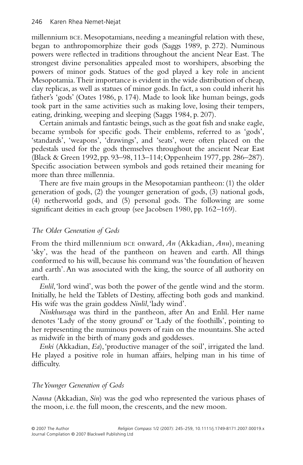millennium BCE. Mesopotamians, needing a meaningful relation with these, began to anthropomorphize their gods (Saggs 1989, p. 272). Numinous powers were reflected in traditions throughout the ancient Near East. The strongest divine personalities appealed most to worshipers, absorbing the powers of minor gods. Statues of the god played a key role in ancient Mesopotamia.Their importance is evident in the wide distribution of cheap, clay replicas, as well as statues of minor gods. In fact, a son could inherit his father's 'gods' (Oates 1986, p. 174). Made to look like human beings, gods took part in the same activities such as making love, losing their tempers, eating, drinking, weeping and sleeping (Saggs 1984, p. 207).

Certain animals and fantastic beings, such as the goat fish and snake eagle, became symbols for specific gods. Their emblems, referred to as 'gods', 'standards', 'weapons', 'drawings', and 'seats', were often placed on the pedestals used for the gods themselves throughout the ancient Near East (Black & Green 1992, pp. 93–98, 113–114;Oppenheim 1977, pp. 286–287). Specific association between symbols and gods retained their meaning for more than three millennia.

There are five main groups in the Mesopotamian pantheon: (1) the older generation of gods, (2) the younger generation of gods, (3) national gods, (4) netherworld gods, and (5) personal gods. The following are some significant deities in each group (see Jacobsen 1980, pp. 162–169).

# *The Older Generation of Gods*

From the third millennium BCE onward, *An* (Akkadian, *Anu*), meaning 'sky', was the head of the pantheon on heaven and earth. All things conformed to his will, because his command was 'the foundation of heaven and earth'.An was associated with the king, the source of all authority on earth.

*Enlil*,'lord wind', was both the power of the gentle wind and the storm. Initially, he held the Tablets of Destiny, affecting both gods and mankind. His wife was the grain goddess *Ninlil*,'lady wind'.

*Ninkhursaga* was third in the pantheon, after An and Enlil. Her name denotes 'Lady of the stony ground' or 'Lady of the foothills', pointing to her representing the numinous powers of rain on the mountains. She acted as midwife in the birth of many gods and goddesses.

*Enki* (Akkadian, *Ea*),'productive manager of the soil', irrigated the land. He played a positive role in human affairs, helping man in his time of difficulty.

# *The Younger Generation of Gods*

*Nanna* (Akkadian, *Sin*) was the god who represented the various phases of the moon, i.e. the full moon, the crescents, and the new moon.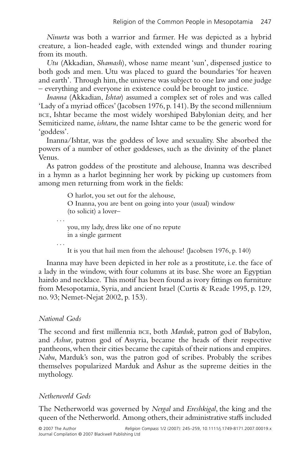*Ninurta* was both a warrior and farmer. He was depicted as a hybrid creature, a lion-headed eagle, with extended wings and thunder roaring from its mouth.

*Utu* (Akkadian, *Shamash*), whose name meant 'sun', dispensed justice to both gods and men. Utu was placed to guard the boundaries 'for heaven and earth'. Through him, the universe was subject to one law and one judge – everything and everyone in existence could be brought to justice.

*Inanna* (Akkadian, *Ishtar*) assumed a complex set of roles and was called 'Lady of a myriad offices' (Jacobsen 1976, p. 141). By the second millennium BCE, Ishtar became the most widely worshiped Babylonian deity, and her Semiticized name, *ishtaru*, the name Ishtar came to be the generic word for 'goddess'.

Inanna/Ishtar, was the goddess of love and sexuality. She absorbed the powers of a number of other goddesses, such as the divinity of the planet Venus.

As patron goddess of the prostitute and alehouse, Inanna was described in a hymn as a harlot beginning her work by picking up customers from among men returning from work in the fields:

> O harlot, you set out for the alehouse, O Inanna, you are bent on going into your (usual) window (to solicit) a lover–

. . . you, my lady, dress like one of no repute in a single garment

It is you that hail men from the alehouse! (Jacobsen 1976, p. 140)

Inanna may have been depicted in her role as a prostitute, i.e. the face of a lady in the window, with four columns at its base. She wore an Egyptian hairdo and necklace. This motif has been found as ivory fittings on furniture from Mesopotamia, Syria, and ancient Israel (Curtis & Reade 1995, p. 129, no. 93; Nemet-Nejat 2002, p. 153).

# *National Gods*

. . .

The second and first millennia BCE, both *Marduk*, patron god of Babylon, and *Ashur*, patron god of Assyria, became the heads of their respective pantheons, when their cities became the capitals of their nations and empires. *Nabu*, Marduk's son, was the patron god of scribes. Probably the scribes themselves popularized Marduk and Ashur as the supreme deities in the mythology.

# *Netherworld Gods*

The Netherworld was governed by *Nergal* and *Ereshkigal*, the king and the queen of the Netherworld. Among others, their administrative staffs included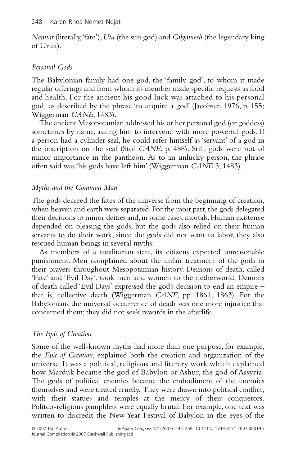*Namtar* (literally,'fate'),*Utu* (the sun god) and *Gilgamesh* (the legendary king of Uruk).

# *Personal Gods*

The Babylonian family had one god, the 'family god', to whom it made regular offerings and from whom its member made specific requests as food and health. For the ancient his good luck was attached to his personal god, as described by the phrase 'to acquire a god' (Jacobsen 1976, p. 155; Wiggerman *CANE*, 1483).

The ancient Mesopotamian addressed his or her personal god (or goddess) sometimes by name, asking him to intervene with more powerful gods. If a person had a cylinder seal, he could refer himself as 'servant' of a god in the inscription on the seal (Stol *CANE*, p. 488). Still, gods were not of minor importance in the pantheon. As to an unlucky person, the phrase often said was 'his gods have left him' (Wiggerman *CANE* 3, 1483).

# *Myths and the Common Man*

The gods decreed the fates of the universe from the beginning of creation, when heaven and earth were separated. For the most part, the gods delegated their decisions to minor deities and, in some cases, mortals. Human existence depended on pleasing the gods, but the gods also relied on their human servants to do their work, since the gods did not want to labor, they also rescued human beings in several myths.

As members of a totalitarian state, its citizens expected unreasonable punishment. Men complained about the unfair treatment of the gods in their prayers throughout Mesopotamian history. Demons of death, called 'Fate' and 'Evil Day', took men and women to the netherworld. Demons of death called 'Evil Days' expressed the god's decision to end an empire – that is, collective death (Wiggerman *CANE*, pp. 1861, 1863). For the Babylonians the universal occurrence of death was one more injustice that concerned them; they did not seek rewards in the afterlife.

# *The Epic of Creation*

Some of the well-known myths had more than one purpose, for example, the *Epic of Creation*, explained both the creation and organization of the universe. It was a political, religious and literary work which explained how Marduk became the god of Babylon or Ashur, the god of Assyria. The gods of political enemies became the embodiment of the enemies themselves and were treated cruelly. They were drawn into political conflict, with their statues and temples at the mercy of their conquerors. Politco-religious pamphlets were equally brutal. For example, one text was written to discredit the New Year Festival of Babylon in the eyes of the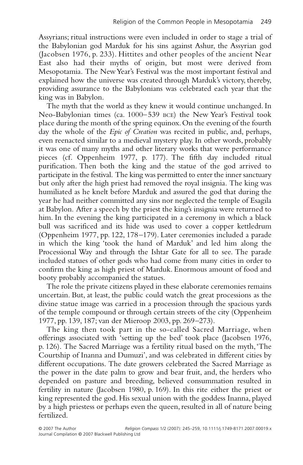Assyrians; ritual instructions were even included in order to stage a trial of the Babylonian god Marduk for his sins against Ashur, the Assyrian god (Jacobsen 1976, p. 233). Hittites and other peoples of the ancient Near East also had their myths of origin, but most were derived from Mesopotamia. The New Year's Festival was the most important festival and explained how the universe was created through Marduk's victory, thereby, providing assurance to the Babylonians was celebrated each year that the king was in Babylon.

The myth that the world as they knew it would continue unchanged. In Neo-Babylonian times (ca. 1000–539 BCE) the New Year's Festival took place during the month of the spring equinox. On the evening of the fourth day the whole of the *Epic of Creation* was recited in public, and, perhaps, even reenacted similar to a medieval mystery play. In other words, probably it was one of many myths and other literary works that were performance pieces (cf. Oppenheim 1977, p. 177). The fifth day included ritual purification. Then both the king and the statue of the god arrived to participate in the festival. The king was permitted to enter the inner sanctuary but only after the high priest had removed the royal insignia. The king was humiliated as he knelt before Marduk and assured the god that during the year he had neither committed any sins nor neglected the temple of Esagila at Babylon. After a speech by the priest the king's insignia were returned to him. In the evening the king participated in a ceremony in which a black bull was sacrificed and its hide was used to cover a copper kettledrum (Oppenheim 1977, pp. 122, 178–179). Later ceremonies included a parade in which the king 'took the hand of Marduk' and led him along the Processional Way and through the Ishtar Gate for all to see. The parade included statues of other gods who had come from many cities in order to confirm the king as high priest of Marduk. Enormous amount of food and booty probably accompanied the statues.

The role the private citizens played in these elaborate ceremonies remains uncertain. But, at least, the public could watch the great processions as the divine statue image was carried in a procession through the spacious yards of the temple compound or through certain streets of the city (Oppenheim 1977, pp. 139, 187; van der Mieroop 2003, pp. 269–273).

The king then took part in the so-called Sacred Marriage, when offerings associated with 'setting up the bed' took place (Jacobsen 1976, p. 126). The Sacred Marriage was a fertility ritual based on the myth,'The Courtship of Inanna and Dumuzi', and was celebrated in different cities by different occupations. The date growers celebrated the Sacred Marriage as the power in the date palm to grow and bear fruit, and, the herders who depended on pasture and breeding, believed consummation resulted in fertility in nature (Jacobsen 1980, p. 169). In this rite either the priest or king represented the god. His sexual union with the goddess Inanna, played by a high priestess or perhaps even the queen, resulted in all of nature being fertilized.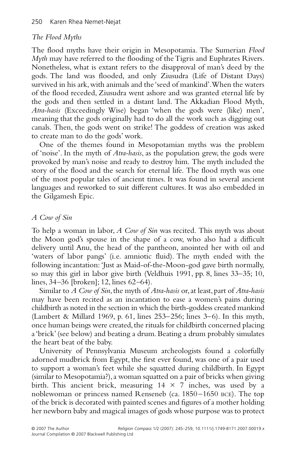# *The Flood Myths*

The flood myths have their origin in Mesopotamia. The Sumerian *Flood Myth* may have referred to the flooding of the Tigris and Euphrates Rivers. Nonetheless, what is extant refers to the disapproval of man's deed by the gods. The land was flooded, and only Ziusudra (Life of Distant Days) survived in his ark, with animals and the 'seed of mankind'.When the waters of the flood receded, Ziusudra went ashore and was granted eternal life by the gods and then settled in a distant land. The Akkadian Flood Myth, *Atra-hasis* (Exceedingly Wise) began 'when the gods were (like) men', meaning that the gods originally had to do all the work such as digging out canals. Then, the gods went on strike! The goddess of creation was asked to create man to do the gods' work.

One of the themes found in Mesopotamian myths was the problem of 'noise'. In the myth of *Atra-hasis*, as the population grew, the gods were provoked by man's noise and ready to destroy him. The myth included the story of the flood and the search for eternal life. The flood myth was one of the most popular tales of ancient times. It was found in several ancient languages and reworked to suit different cultures. It was also embedded in the Gilgamesh Epic.

# *A Cow of Sin*

To help a woman in labor, *A Cow of Sin* was recited. This myth was about the Moon god's spouse in the shape of a cow, who also had a difficult delivery until Anu, the head of the pantheon, anointed her with oil and 'waters of labor pangs' (i.e. amniotic fluid). The myth ended with the following incantation: 'Just as Maid-of-the-Moon-god gave birth normally, so may this girl in labor give birth (Veldhuis 1991, pp. 8, lines 33–35; 10, lines, 34–36 [broken]; 12, lines 62–64).

Similar to *A Cow of Sin*, the myth of *Atra-hasis* or, at least, part of *Atra-hasis* may have been recited as an incantation to ease a women's pains during childbirth as noted in the section in which the birth-goddess created mankind (Lambert & Millard 1969, p. 61, lines 253–256; lines 3–6). In this myth, once human beings were created, the rituals for childbirth concerned placing a 'brick' (see below) and beating a drum. Beating a drum probably simulates the heart beat of the baby.

University of Pennsylvania Museum archeologists found a colorfully adorned mudbrick from Egypt, the first ever found, was one of a pair used to support a woman's feet while she squatted during childbirth. In Egypt (similar to Mesopotamia?), a woman squatted on a pair of bricks when giving birth. This ancient brick, measuring  $14 \times 7$  inches, was used by a noblewoman or princess named Renseneb (ca. 1850 –1650 BCE). The top of the brick is decorated with painted scenes and figures of a mother holding her newborn baby and magical images of gods whose purpose was to protect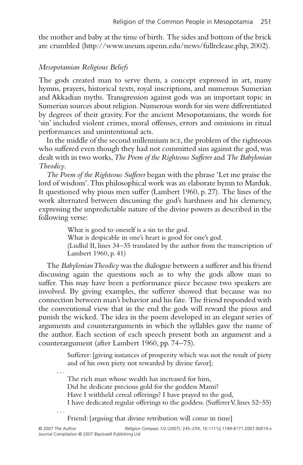the mother and baby at the time of birth. The sides and bottom of the brick [are crumbled \(http://www.useum.upenn.edu/news/fullrelease.php, 2002\).](http://www.useum.upenn.edu/news/fullrelease.php)

# *Mesopotamian Religious Beliefs*

. . .

The gods created man to serve them, a concept expressed in art, many hymns, prayers, historical texts, royal inscriptions, and numerous Sumerian and Akkadian myths. Transgression against gods was an important topic in Sumerian sources about religion. Numerous words for sin were differentiated by degrees of their gravity. For the ancient Mesopotamians, the words for 'sin' included violent crimes, moral offenses, errors and omissions in ritual performances and unintentional acts.

In the middle of the second millennium BCE, the problem of the righteous who suffered even though they had not committed sins against the god, was dealt with in two works,*The Poem of the Righteous Sufferer* and *The Babylonian Theodicy*.

*The Poem of the Righteous Sufferer* began with the phrase 'Let me praise the lord of wisdom'.This philosophical work was an elaborate hymn to Marduk. It questioned why pious men suffer (Lambert 1960, p. 27). The lines of the work alternated between discussing the god's harshness and his clemency, expressing the unpredictable nature of the divine powers as described in the following verse:

What is good to oneself is a sin to the god.

What is despicable in one's heart is good for one's god.

(Ludlul II, lines 34–35 translated by the author from the transcription of Lambert 1960, p. 41)

The *Babylonian Theodicy* was the dialogue between a sufferer and his friend discussing again the questions such as to why the gods allow man to suffer. This may have been a performance piece because two speakers are involved. By giving examples, the sufferer showed that because was no connection between man's behavior and his fate. The friend responded with the conventional view that in the end the gods will reward the pious and punish the wicked. The idea in the poem developed in an elegant series of arguments and counterarguments in which the syllables gave the name of the author. Each section of each speech present both an argument and a counterargument (after Lambert 1960, pp. 74–75).

> Sufferer: [giving instances of prosperity which was not the result of piety and of his own piety not rewarded by divine favor];

The rich man whose wealth has increased for him, Did he dedicate precious gold for the goddess Mami? Have I withheld cereal offerings? I have prayed to the god, I have dedicated regular offerings to the goddess. (Sufferer V, lines 52–55)

. . . Friend: [arguing that divine retribution will come in time]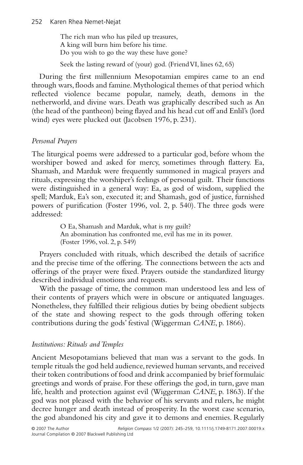#### 252 Karen Rhea Nemet-Nejat

The rich man who has piled up treasures, A king will burn him before his time. Do you wish to go the way these have gone?

Seek the lasting reward of (your) god. (Friend VI, lines 62, 65)

During the first millennium Mesopotamian empires came to an end through wars, floods and famine.Mythological themes of that period which reflected violence became popular, namely, death, demons in the netherworld, and divine wars. Death was graphically described such as An (the head of the pantheon) being flayed and his head cut off and Enlil's (lord wind) eyes were plucked out (Jacobsen 1976, p. 231).

## *Personal Prayers*

The liturgical poems were addressed to a particular god, before whom the worshiper bowed and asked for mercy, sometimes through flattery. Ea, Shamash, and Marduk were frequently summoned in magical prayers and rituals, expressing the worshiper's feelings of personal guilt. Their functions were distinguished in a general way: Ea, as god of wisdom, supplied the spell; Marduk, Ea's son, executed it; and Shamash, god of justice, furnished powers of purification (Foster 1996, vol. 2, p. 540). The three gods were addressed:

> O Ea, Shamash and Marduk, what is my guilt? An abomination has confronted me, evil has me in its power. (Foster 1996, vol. 2, p. 549)

Prayers concluded with rituals, which described the details of sacrifice and the precise time of the offering. The connections between the acts and offerings of the prayer were fixed. Prayers outside the standardized liturgy described individual emotions and requests.

With the passage of time, the common man understood less and less of their contents of prayers which were in obscure or antiquated languages. Nonetheless, they fulfilled their religious duties by being obedient subjects of the state and showing respect to the gods through offering token contributions during the gods' festival (Wiggerman *CANE*, p. 1866).

#### *Institutions: Rituals and Temples*

Ancient Mesopotamians believed that man was a servant to the gods. In temple rituals the god held audience, reviewed human servants, and received their token contributions of food and drink accompanied by brief formulaic greetings and words of praise. For these offerings the god, in turn, gave man life, health and protection against evil (Wiggerman *CANE*, p. 1863). If the god was not pleased with the behavior of his servants and rulers, he might decree hunger and death instead of prosperity. In the worst case scenario, the god abandoned his city and gave it to demons and enemies. Regularly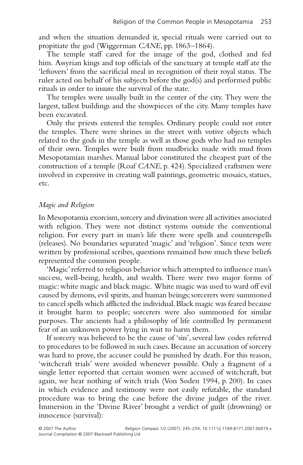and when the situation demanded it, special rituals were carried out to propitiate the god (Wiggerman *CANE*, pp. 1863–1864).

The temple staff cared for the image of the god, clothed and fed him. Assyrian kings and top officials of the sanctuary at temple staff ate the 'leftovers' from the sacrificial meal in recognition of their royal status. The ruler acted on behalf of his subjects before the god(s) and performed public rituals in order to insure the survival of the state.

The temples were usually built in the center of the city. They were the largest, tallest buildings and the showpieces of the city. Many temples have been excavated.

Only the priests entered the temples. Ordinary people could not enter the temples. There were shrines in the street with votive objects which related to the gods in the temple as well as those gods who had no temples of their own. Temples were built from mudbricks made with mud from Mesopotamian marshes. Manual labor constituted the cheapest part of the construction of a temple (Roaf *CANE*, p. 424). Specialized craftsmen were involved in expensive in creating wall paintings, geometric mosaics, statues, etc.

# *Magic and Religion*

In Mesopotamia exorcism, sorcery and divination were all activities associated with religion. They were not distinct systems outside the conventional religion. For every part in man's life there were spells and counterspells (releases). No boundaries separated 'magic' and 'religion'. Since texts were written by professional scribes, questions remained how much these beliefs represented the common people.

'Magic' referred to religious behavior which attempted to influence man's success, well-being, health, and wealth. There were two major forms of magic: white magic and black magic. White magic was used to ward off evil caused by demons, evil spirits, and human beings; sorcerers were summoned to cancel spells which afflicted the individual. Black magic was feared because it brought harm to people; sorcerers were also summoned for similar purposes. The ancients had a philosophy of life controlled by permanent fear of an unknown power lying in wait to harm them.

If sorcery was believed to be the cause of 'sin', several law codes referred to procedures to be followed in such cases.Because an accusation of sorcery was hard to prove, the accuser could be punished by death. For this reason, 'witchcraft trials' were avoided whenever possible. Only a fragment of a single letter reported that certain women were accused of witchcraft, but again, we hear nothing of witch trials (Von Soden 1994, p. 200). In cases in which evidence and testimony were not easily refutable, the standard procedure was to bring the case before the divine judges of the river. Immersion in the 'Divine River' brought a verdict of guilt (drowning) or innocence (survival):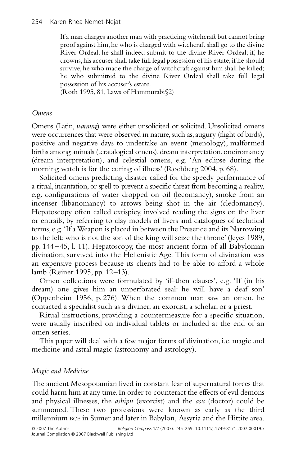If a man charges another man with practicing witchcraft but cannot bring proof against him, he who is charged with witchcraft shall go to the divine River Ordeal, he shall indeed submit to the divine River Ordeal; if, he drowns, his accuser shall take full legal possession of his estate; if he should survive, he who made the charge of witchcraft against him shall be killed; he who submitted to the divine River Ordeal shall take full legal possession of his accuser's estate.

(Roth 1995, 81, Laws of Hammurabi§2)

## *Omens*

Omens (Latin, *warning*) were either unsolicited or solicited. Unsolicited omens were occurrences that were observed in nature, such as, augury (flight of birds), positive and negative days to undertake an event (menology), malformed births among animals (teratalogical omens), dream interpretation, oneiromancy (dream interpretation), and celestial omens, e.g. 'An eclipse during the morning watch is for the curing of illness' (Rochberg 2004, p. 68).

Solicited omens predicting disaster called for the speedy performance of a ritual, incantation, or spell to prevent a specific threat from becoming a reality, e.g. configurations of water dropped on oil (lecomancy), smoke from an incenser (libanomancy) to arrows being shot in the air (cledomancy). Hepatoscopy often called extispicy, involved reading the signs on the liver or entrails, by referring to clay models of livers and catalogues of technical terms, e.g.'If a Weapon is placed in between the Presence and its Narrowing to the left: who is not the son of the king will seize the throne' (Jeyes 1989, pp. 144 –45, l. 11). Hepatoscopy, the most ancient form of all Babylonian divination, survived into the Hellenistic Age. This form of divination was an expensive process because its clients had to be able to afford a whole lamb (Reiner 1995, pp. 12–13).

Omen collections were formulated by 'if–then clauses', e.g. 'If (in his dream) one gives him an unperforated seal: he will have a deaf son' (Oppenheim 1956, p. 276). When the common man saw an omen, he contacted a specialist such as a diviner, an exorcist, a scholar, or a priest.

Ritual instructions, providing a countermeasure for a specific situation, were usually inscribed on individual tablets or included at the end of an omen series.

This paper will deal with a few major forms of divination, i.e. magic and medicine and astral magic (astronomy and astrology).

# *Magic and Medicine*

The ancient Mesopotamian lived in constant fear of supernatural forces that could harm him at any time. In order to counteract the effects of evil demons and physical illnesses, the *ashipu* (exorcist) and the *asu* (doctor) could be summoned. These two professions were known as early as the third millennium BCE in Sumer and later in Babylon, Assyria and the Hittite area.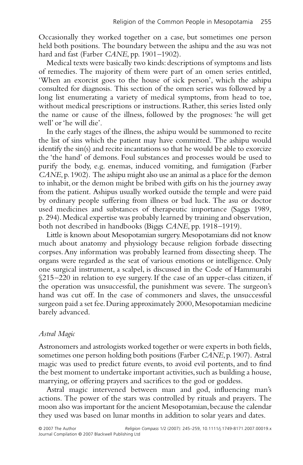Occasionally they worked together on a case, but sometimes one person held both positions. The boundary between the ashipu and the asu was not hard and fast (Farber *CANE*, pp. 1901–1902).

Medical texts were basically two kinds: descriptions of symptoms and lists of remedies. The majority of them were part of an omen series entitled, 'When an exorcist goes to the house of sick person', which the ashipu consulted for diagnosis. This section of the omen series was followed by a long list enumerating a variety of medical symptoms, from head to toe, without medical prescriptions or instructions. Rather, this series listed only the name or cause of the illness, followed by the prognoses: 'he will get well' or 'he will die'.

In the early stages of the illness, the ashipu would be summoned to recite the list of sins which the patient may have committed. The ashipu would identify the sin(s) and recite incantations so that he would be able to exorcize the 'the hand' of demons. Foul substances and processes would be used to purify the body, e.g. enemas, induced vomiting, and fumigation (Farber *CANE*, p. 1902). The ashipu might also use an animal as a place for the demon to inhabit, or the demon might be bribed with gifts on his the journey away from the patient. Ashipus usually worked outside the temple and were paid by ordinary people suffering from illness or bad luck. The asu or doctor used medicines and substances of therapeutic importance (Saggs 1989, p. 294).Medical expertise was probably learned by training and observation, both not described in handbooks (Biggs *CANE*, pp. 1918–1919).

Little is known about Mesopotamian surgery. Mesopotamians did not know much about anatomy and physiology because religion forbade dissecting corpses.Any information was probably learned from dissecting sheep. The organs were regarded as the seat of various emotions or intelligence. Only one surgical instrument, a scalpel, is discussed in the Code of Hammurabi §215–220 in relation to eye surgery. If the case of an upper-class citizen, if the operation was unsuccessful, the punishment was severe. The surgeon's hand was cut off. In the case of commoners and slaves, the unsuccessful surgeon paid a set fee. During approximately 2000, Mesopotamian medicine barely advanced.

# *Astral Magic*

Astronomers and astrologists worked together or were experts in both fields, sometimes one person holding both positions (Farber *CANE*, p. 1907). Astral magic was used to predict future events, to avoid evil portents, and to find the best moment to undertake important activities, such as building a house, marrying, or offering prayers and sacrifices to the god or goddess.

Astral magic intervened between man and god, influencing man's actions. The power of the stars was controlled by rituals and prayers. The moon also was important for the ancient Mesopotamian, because the calendar they used was based on lunar months in addition to solar years and dates.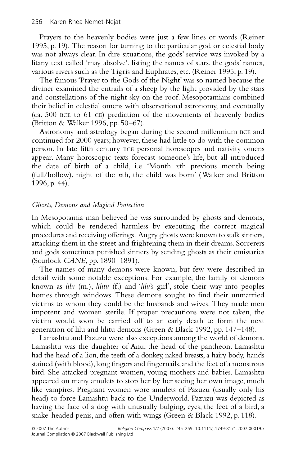Prayers to the heavenly bodies were just a few lines or words (Reiner 1995, p. 19). The reason for turning to the particular god or celestial body was not always clear. In dire situations, the gods' service was invoked by a litany text called 'may absolve', listing the names of stars, the gods' names, various rivers such as the Tigris and Euphrates, etc. (Reiner 1995, p. 19).

The famous 'Prayer to the Gods of the Night' was so named because the diviner examined the entrails of a sheep by the light provided by the stars and constellations of the night sky on the roof. Mesopotamians combined their belief in celestial omens with observational astronomy, and eventually (ca. 500 BCE to 61 CE) prediction of the movements of heavenly bodies (Britton & Walker 1996, pp. 50–67).

Astronomy and astrology began during the second millennium BCE and continued for 2000 years; however, these had little to do with the common person. In late fifth century BCE personal horoscopes and nativity omens appear. Many horoscopic texts forecast someone's life, but all introduced the date of birth of a child, i.e. 'Month *x*th previous month being (full/hollow), night of the *n*th, the child was born' (Walker and Britton 1996, p. 44).

# *Ghosts, Demons and Magical Protection*

In Mesopotamia man believed he was surrounded by ghosts and demons, which could be rendered harmless by executing the correct magical procedures and receiving offerings. Angry ghosts were known to stalk sinners, attacking them in the street and frightening them in their dreams. Sorcerers and gods sometimes punished sinners by sending ghosts as their emissaries (Scurlock *CANE*, pp. 1890–1891).

The names of many demons were known, but few were described in detail with some notable exceptions. For example, the family of demons known as *lilu* (m.), *lilitu* (f.) and '*lilu*'s girl', stole their way into peoples homes through windows. These demons sought to find their unmarried victims to whom they could be the husbands and wives. They made men impotent and women sterile. If proper precautions were not taken, the victim would soon be carried off to an early death to form the next generation of lilu and lilitu demons (Green & Black 1992, pp. 147–148).

Lamashtu and Pazuzu were also exceptions among the world of demons. Lamashtu was the daughter of Anu, the head of the pantheon. Lamashtu had the head of a lion, the teeth of a donkey, naked breasts, a hairy body, hands stained (with blood), long fingers and fingernails, and the feet of a monstrous bird. She attacked pregnant women, young mothers and babies. Lamashtu appeared on many amulets to stop her by her seeing her own image, much like vampires. Pregnant women wore amulets of Pazuzu (usually only his head) to force Lamashtu back to the Underworld. Pazuzu was depicted as having the face of a dog with unusually bulging, eyes, the feet of a bird, a snake-headed penis, and often with wings (Green & Black 1992, p. 118).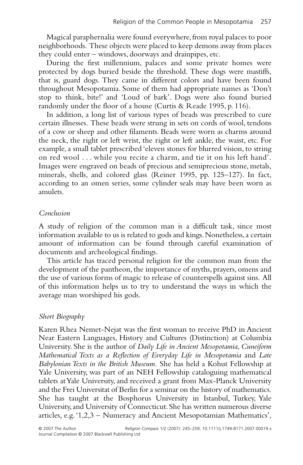Magical paraphernalia were found everywhere, from royal palaces to poor neighborhoods. These objects were placed to keep demons away from places they could enter – windows, doorways and drainpipes, etc.

During the first millennium, palaces and some private homes were protected by dogs buried beside the threshold. These dogs were mastiffs, that is, guard dogs. They came in different colors and have been found throughout Mesopotamia. Some of them had appropriate names as 'Don't stop to think, bite!' and 'Loud of bark'. Dogs were also found buried randomly under the floor of a house (Curtis & Reade 1995, p. 116).

In addition, a long list of various types of beads was prescribed to cure certain illnesses. These beads were strung in sets on cords of wool, tendons of a cow or sheep and other filaments. Beads were worn as charms around the neck, the right or left wrist, the right or left ankle, the waist, etc. For example, a small tablet prescribed 'eleven stones for blurred vision, to string on red wool . . . while you recite a charm, and tie it on his left hand'. Images were engraved on beads of precious and semiprecious stone, metals, minerals, shells, and colored glass (Reiner 1995, pp. 125–127). In fact, according to an omen series, some cylinder seals may have been worn as amulets.

## *Conclusion*

A study of religion of the common man is a difficult task, since most information available to us is related to gods and kings. Nonetheless, a certain amount of information can be found through careful examination of documents and archeological findings.

This article has traced personal religion for the common man from the development of the pantheon, the importance of myths, prayers, omens and the use of various forms of magic to release of counterspells against sins. All of this information helps us to try to understand the ways in which the average man worshiped his gods.

#### *Short Biography*

Karen Rhea Nemet-Nejat was the first woman to receive PhD in Ancient Near Eastern Languages, History and Cultures (Distinction) at Columbia University. She is the author of *Daily Life in Ancient Mesopotamia*, *Cuneiform Mathematical Texts as a Reflection of Everyday Life in Mesopotamia* and *Late Babylonian Texts in the British Museum.* She has held a Kohut Fellowship at Yale University, was part of an NEH Fellowship cataloguing mathematical tablets at Yale University, and received a grant from Max-Planck University and the Frei Universitat of Berlin for a seminar on the history of mathematics. She has taught at the Bosphorus University in Istanbul, Turkey, Yale University, and University of Connecticut. She has written numerous diverse articles, e.g.'1,2,3 – Numeracy and Ancient Mesopotamian Mathematics',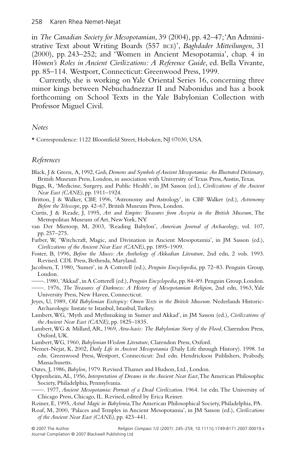in *The Canadian Society for Mesopotamian*, 39 (2004), pp. 42–47;'An Administrative Text about Writing Boards (557 BCE)', *Baghdader Mitteilungen*, 31 (2000), pp. 243–252; and 'Women in Ancient Mesopotamia', chap. 4 in *Women's Roles in Ancient Civilizations: A Reference Guide*, ed. Bella Vivante, pp. 85–114. Westport, Connecticut: Greenwood Press, 1999.

Currently, she is working on Yale Oriental Series 16, concerning three minor kings between Nebuchadnezzar II and Nabonidus and has a book forthcoming on School Texts in the Yale Babylonian Collection with Professor Miguel Civil.

#### *Notes*

\* Correspondence: 1122 Bloomfield Street, Hoboken, NJ 07030, USA.

## *References*

- Black, J & Green, A, 1992,*Gods, Demons and Symbols of Ancient Mesopotamia: An Illustrated Dictionary*, British Museum Press, London, in association with University of Texas Press,Austin,Texas.
- Biggs, R, 'Medicine, Surgery, and Public Health', in JM Sasson (ed.), *Civilizations of the Ancient Near East (CANE)*, pp. 1911–1924.
- Britton, J & Walker, CBF, 1996, 'Astronomy and Astrology', in CBF Walker (ed.), *Astronomy Before the Telescope*, pp. 42–67, British Museum Press, London.
- Curtis, J & Reade, J, 1995, *Art and Empire: Treasures from Assyria in the British Museum*, The Metropolitan Museum of Art, New York, NY.
- van Der Mieroop, M, 2003, 'Reading Babylon', *American Journal of Archaeology*, vol. 107, pp. 257–275.
- Farber, W, 'Witchcraft, Magic, and Divination in Ancient Mesopotamia', in JM Sasson (ed.), *Civilizations of the Ancient Near East (CANE)*, pp. 1895–1909.
- Foster, B, 1996, *Before the Muses: An Anthology of Akkadian Literature*, 2nd edn, 2 vols. 1993. Revised. CDL Press, Bethesda, Maryland.
- Jacobsen,T, 1980, 'Sumer', in A Cotterell (ed.), *Penguin Encyclopedia*, pp. 72–83. Penguin Group, London.
- ——. 1980, 'Akkad', in A Cotterell (ed.),*Penguin Encyclopedia*, pp. 84–89. Penguin Group, London.
- ——. 1976, *The Treasures of Darkness: A History of Mesopotamian Religion*, 2nd edn, 1963, Yale University Press, New Haven, Connecticut.
- Jeyes, U, 1989, *Old Babylonian Extispicy: Omen Texts in the British Museum*. Nederlands Historic-Archaeologic Instate te Istanbul, Istanbul,Turkey.
- Lambert,WG, 'Myth and Mythmaking in Sumer and Akkad', in JM Sasson (ed.), *Civilizations of the Ancient Near East (CANE)*, pp. 1825–1835.
- Lambert,WG & Millard,AR, 1969, *Atra-hasis: The Babylonian Story of the Flood*, Clarendon Press, Oxford, UK.
- Lambert,WG, 1960, *Babylonian Wisdom Literature*, Clarendon Press, Oxford.
- Nemet-Nejat, K, 2002, *Daily Life in Ancient Mesopotamia* (Daily Life through History). 1998. 1st edn. Greenwood Press, Westport, Connecticut: 2nd edn. Hendrickson Publishers, Peabody, Massachusetts.
- Oates, J, 1986, *Babylon*, 1979. Revised.Thames and Hudson, Ltd., London.
- Oppenheim,AL, 1956, *Interpretation of Dreams in the Ancient Near East*,The American Philosophic Society, Philadelphia, Pennsylvania.
- ——. 1977, *Ancient Mesopotamia: Portrait of a Dead Civilization*. 1964. 1st edn.The University of Chicago Press, Chicago, IL. Revised, edited by Erica Reiner.
- Reiner, E, 1995, *Astral Magic in Babylonia*,The American Philosophical Society, Philadelphia, PA.
- Roaf, M, 2000, 'Palaces and Temples in Ancient Mesopotamia', in JM Sasson (ed.), *Civilizations of the Ancient Near East (CANE)*, pp. 423–441.